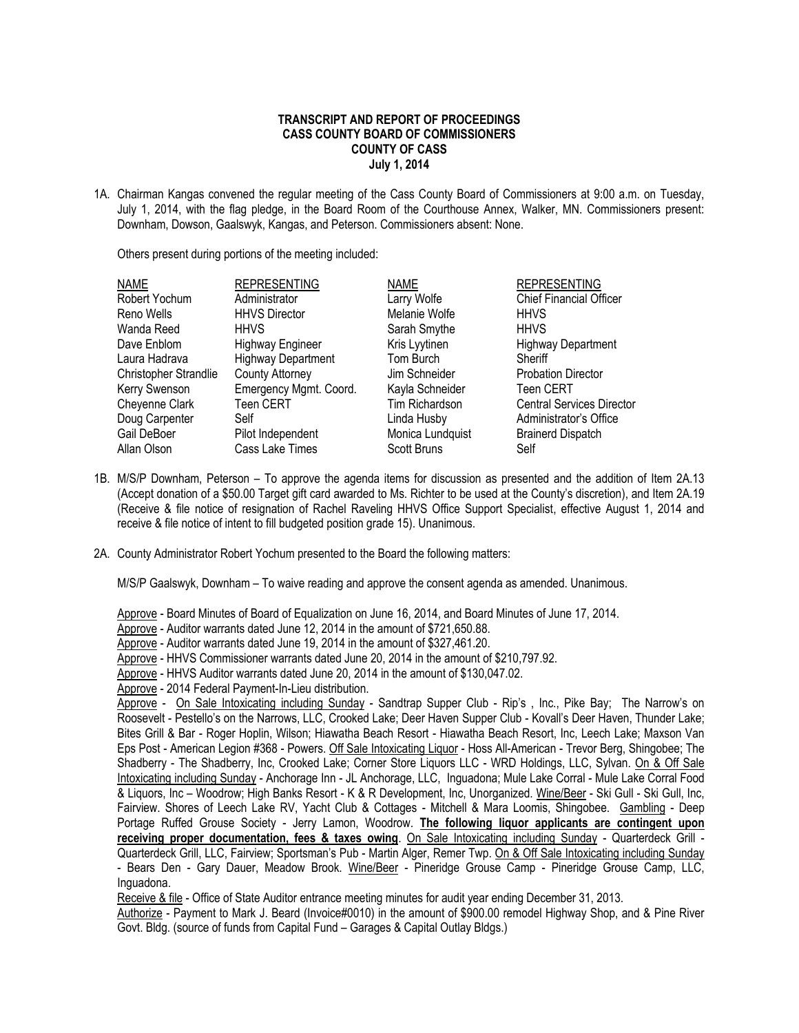## **TRANSCRIPT AND REPORT OF PROCEEDINGS CASS COUNTY BOARD OF COMMISSIONERS COUNTY OF CASS July 1, 2014**

1A. Chairman Kangas convened the regular meeting of the Cass County Board of Commissioners at 9:00 a.m. on Tuesday, July 1, 2014, with the flag pledge, in the Board Room of the Courthouse Annex, Walker, MN. Commissioners present: Downham, Dowson, Gaalswyk, Kangas, and Peterson. Commissioners absent: None.

Others present during portions of the meeting included:

| NAME                  | <b>REPRESENTING</b>       | <b>NAME</b>           | <b>REPRESENTING</b>              |
|-----------------------|---------------------------|-----------------------|----------------------------------|
| Robert Yochum         | Administrator             | Larry Wolfe           | <b>Chief Financial Officer</b>   |
| Reno Wells            | <b>HHVS Director</b>      | Melanie Wolfe         | <b>HHVS</b>                      |
| Wanda Reed            | <b>HHVS</b>               | Sarah Smythe          | <b>HHVS</b>                      |
| Dave Enblom           | Highway Engineer          | Kris Lyytinen         | <b>Highway Department</b>        |
| Laura Hadrava         | <b>Highway Department</b> | Tom Burch             | Sheriff                          |
| Christopher Strandlie | <b>County Attorney</b>    | Jim Schneider         | <b>Probation Director</b>        |
| Kerry Swenson         | Emergency Mgmt. Coord.    | Kayla Schneider       | <b>Teen CERT</b>                 |
| Cheyenne Clark        | Teen CERT                 | <b>Tim Richardson</b> | <b>Central Services Director</b> |
| Doug Carpenter        | Self                      | Linda Husby           | Administrator's Office           |
| Gail DeBoer           | Pilot Independent         | Monica Lundquist      | <b>Brainerd Dispatch</b>         |
| Allan Olson           | Cass Lake Times           | Scott Bruns           | Self                             |

- 1B. M/S/P Downham, Peterson To approve the agenda items for discussion as presented and the addition of Item 2A.13 (Accept donation of a \$50.00 Target gift card awarded to Ms. Richter to be used at the County's discretion), and Item 2A.19 (Receive & file notice of resignation of Rachel Raveling HHVS Office Support Specialist, effective August 1, 2014 and receive & file notice of intent to fill budgeted position grade 15). Unanimous.
- 2A. County Administrator Robert Yochum presented to the Board the following matters:

M/S/P Gaalswyk, Downham – To waive reading and approve the consent agenda as amended. Unanimous.

Approve - Board Minutes of Board of Equalization on June 16, 2014, and Board Minutes of June 17, 2014.

Approve - Auditor warrants dated June 12, 2014 in the amount of \$721,650.88.

Approve - Auditor warrants dated June 19, 2014 in the amount of \$327,461.20.

Approve - HHVS Commissioner warrants dated June 20, 2014 in the amount of \$210,797.92.

Approve - HHVS Auditor warrants dated June 20, 2014 in the amount of \$130,047.02.

Approve - 2014 Federal Payment-In-Lieu distribution.

Approve - On Sale Intoxicating including Sunday - Sandtrap Supper Club - Rip's, Inc., Pike Bay; The Narrow's on Roosevelt - Pestello's on the Narrows, LLC, Crooked Lake; Deer Haven Supper Club - Kovall's Deer Haven, Thunder Lake; Bites Grill & Bar - Roger Hoplin, Wilson; Hiawatha Beach Resort - Hiawatha Beach Resort, Inc, Leech Lake; Maxson Van Eps Post - American Legion #368 - Powers. Off Sale Intoxicating Liquor - Hoss All-American - Trevor Berg, Shingobee; The Shadberry - The Shadberry, Inc, Crooked Lake; Corner Store Liquors LLC - WRD Holdings, LLC, Sylvan. On & Off Sale Intoxicating including Sunday - Anchorage Inn - JL Anchorage, LLC, Inguadona; Mule Lake Corral - Mule Lake Corral Food & Liquors, Inc – Woodrow; High Banks Resort - K & R Development, Inc, Unorganized. Wine/Beer - Ski Gull - Ski Gull, Inc, Fairview. Shores of Leech Lake RV, Yacht Club & Cottages - Mitchell & Mara Loomis, Shingobee. Gambling - Deep Portage Ruffed Grouse Society - Jerry Lamon, Woodrow. **The following liquor applicants are contingent upon receiving proper documentation, fees & taxes owing**. On Sale Intoxicating including Sunday - Quarterdeck Grill - Quarterdeck Grill, LLC, Fairview; Sportsman's Pub - Martin Alger, Remer Twp. On & Off Sale Intoxicating including Sunday - Bears Den - Gary Dauer, Meadow Brook. Wine/Beer - Pineridge Grouse Camp - Pineridge Grouse Camp, LLC, Inguadona.

Receive & file - Office of State Auditor entrance meeting minutes for audit year ending December 31, 2013.

Authorize - Payment to Mark J. Beard (Invoice#0010) in the amount of \$900.00 remodel Highway Shop, and & Pine River Govt. Bldg. (source of funds from Capital Fund – Garages & Capital Outlay Bldgs.)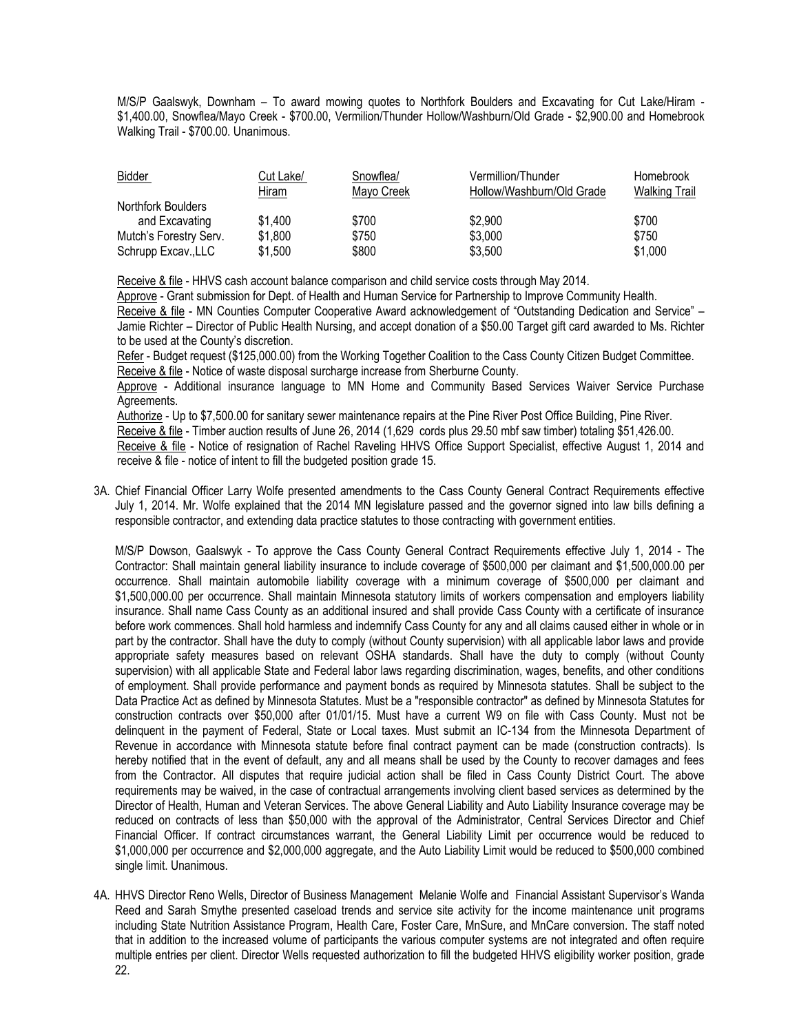M/S/P Gaalswyk, Downham – To award mowing quotes to Northfork Boulders and Excavating for Cut Lake/Hiram - \$1,400.00, Snowflea/Mayo Creek - \$700.00, Vermilion/Thunder Hollow/Washburn/Old Grade - \$2,900.00 and Homebrook Walking Trail - \$700.00. Unanimous.

| Bidder                 | Cut Lake/<br><u>Hiram</u> | Snowflea/<br>Mayo Creek | Vermillion/Thunder<br>Hollow/Washburn/Old Grade | Homebrook<br><b>Walking Trail</b> |
|------------------------|---------------------------|-------------------------|-------------------------------------------------|-----------------------------------|
| Northfork Boulders     |                           |                         |                                                 |                                   |
| and Excavating         | \$1,400                   | \$700                   | \$2,900                                         | \$700                             |
| Mutch's Forestry Serv. | \$1,800                   | \$750                   | \$3,000                                         | \$750                             |
| Schrupp Excav., LLC    | \$1,500                   | \$800                   | \$3,500                                         | \$1,000                           |

Receive & file - HHVS cash account balance comparison and child service costs through May 2014.

Approve - Grant submission for Dept. of Health and Human Service for Partnership to Improve Community Health.

Receive & file - MN Counties Computer Cooperative Award acknowledgement of "Outstanding Dedication and Service" – Jamie Richter – Director of Public Health Nursing, and accept donation of a \$50.00 Target gift card awarded to Ms. Richter to be used at the County's discretion.

Refer - Budget request (\$125,000.00) from the Working Together Coalition to the Cass County Citizen Budget Committee. Receive & file - Notice of waste disposal surcharge increase from Sherburne County.

Approve - Additional insurance language to MN Home and Community Based Services Waiver Service Purchase Agreements.

Authorize - Up to \$7,500.00 for sanitary sewer maintenance repairs at the Pine River Post Office Building, Pine River. Receive & file - Timber auction results of June 26, 2014 (1,629 cords plus 29.50 mbf saw timber) totaling \$51,426.00. Receive & file - Notice of resignation of Rachel Raveling HHVS Office Support Specialist, effective August 1, 2014 and receive & file - notice of intent to fill the budgeted position grade 15.

3A. Chief Financial Officer Larry Wolfe presented amendments to the Cass County General Contract Requirements effective July 1, 2014. Mr. Wolfe explained that the 2014 MN legislature passed and the governor signed into law bills defining a responsible contractor, and extending data practice statutes to those contracting with government entities.

M/S/P Dowson, Gaalswyk - To approve the Cass County General Contract Requirements effective July 1, 2014 - The Contractor: Shall maintain general liability insurance to include coverage of \$500,000 per claimant and \$1,500,000.00 per occurrence. Shall maintain automobile liability coverage with a minimum coverage of \$500,000 per claimant and \$1,500,000.00 per occurrence. Shall maintain Minnesota statutory limits of workers compensation and employers liability insurance. Shall name Cass County as an additional insured and shall provide Cass County with a certificate of insurance before work commences. Shall hold harmless and indemnify Cass County for any and all claims caused either in whole or in part by the contractor. Shall have the duty to comply (without County supervision) with all applicable labor laws and provide appropriate safety measures based on relevant OSHA standards. Shall have the duty to comply (without County supervision) with all applicable State and Federal labor laws regarding discrimination, wages, benefits, and other conditions of employment. Shall provide performance and payment bonds as required by Minnesota statutes. Shall be subject to the Data Practice Act as defined by Minnesota Statutes. Must be a "responsible contractor" as defined by Minnesota Statutes for construction contracts over \$50,000 after 01/01/15. Must have a current W9 on file with Cass County. Must not be delinquent in the payment of Federal, State or Local taxes. Must submit an IC-134 from the Minnesota Department of Revenue in accordance with Minnesota statute before final contract payment can be made (construction contracts). Is hereby notified that in the event of default, any and all means shall be used by the County to recover damages and fees from the Contractor. All disputes that require judicial action shall be filed in Cass County District Court. The above requirements may be waived, in the case of contractual arrangements involving client based services as determined by the Director of Health, Human and Veteran Services. The above General Liability and Auto Liability Insurance coverage may be reduced on contracts of less than \$50,000 with the approval of the Administrator, Central Services Director and Chief Financial Officer. If contract circumstances warrant, the General Liability Limit per occurrence would be reduced to \$1,000,000 per occurrence and \$2,000,000 aggregate, and the Auto Liability Limit would be reduced to \$500,000 combined single limit. Unanimous.

4A. HHVS Director Reno Wells, Director of Business Management Melanie Wolfe and Financial Assistant Supervisor's Wanda Reed and Sarah Smythe presented caseload trends and service site activity for the income maintenance unit programs including State Nutrition Assistance Program, Health Care, Foster Care, MnSure, and MnCare conversion. The staff noted that in addition to the increased volume of participants the various computer systems are not integrated and often require multiple entries per client. Director Wells requested authorization to fill the budgeted HHVS eligibility worker position, grade 22.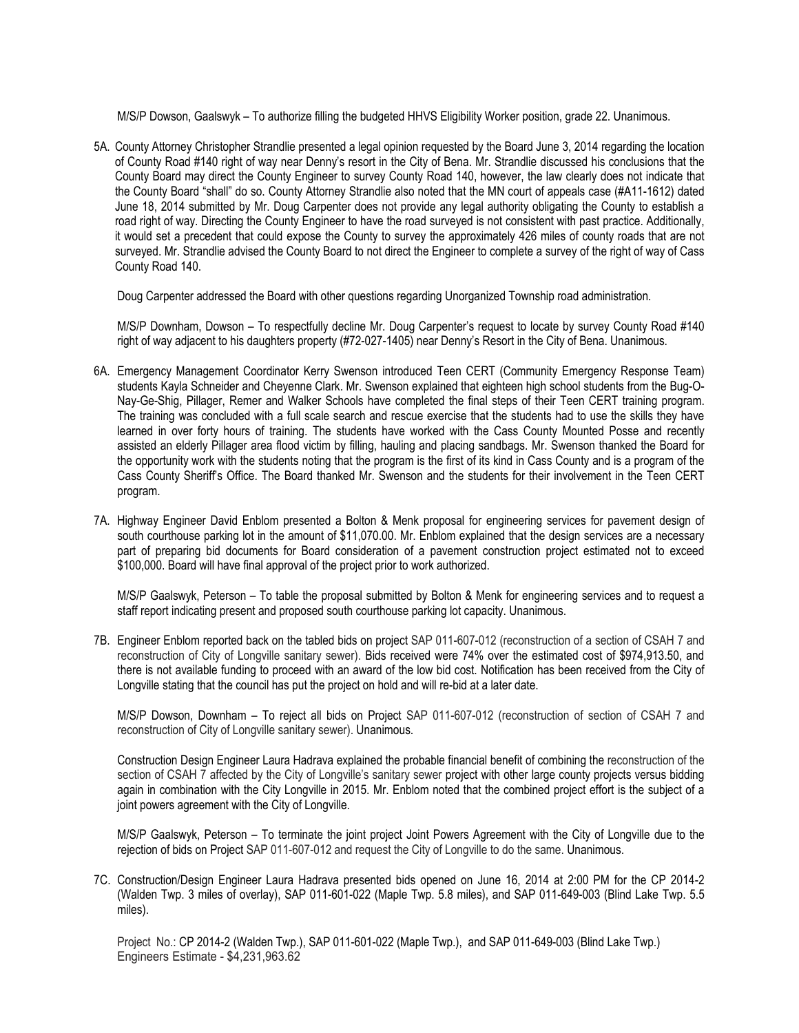M/S/P Dowson, Gaalswyk – To authorize filling the budgeted HHVS Eligibility Worker position, grade 22. Unanimous.

5A. County Attorney Christopher Strandlie presented a legal opinion requested by the Board June 3, 2014 regarding the location of County Road #140 right of way near Denny's resort in the City of Bena. Mr. Strandlie discussed his conclusions that the County Board may direct the County Engineer to survey County Road 140, however, the law clearly does not indicate that the County Board "shall" do so. County Attorney Strandlie also noted that the MN court of appeals case (#A11-1612) dated June 18, 2014 submitted by Mr. Doug Carpenter does not provide any legal authority obligating the County to establish a road right of way. Directing the County Engineer to have the road surveyed is not consistent with past practice. Additionally, it would set a precedent that could expose the County to survey the approximately 426 miles of county roads that are not surveyed. Mr. Strandlie advised the County Board to not direct the Engineer to complete a survey of the right of way of Cass County Road 140.

Doug Carpenter addressed the Board with other questions regarding Unorganized Township road administration.

M/S/P Downham, Dowson – To respectfully decline Mr. Doug Carpenter's request to locate by survey County Road #140 right of way adjacent to his daughters property (#72-027-1405) near Denny's Resort in the City of Bena. Unanimous.

- 6A. Emergency Management Coordinator Kerry Swenson introduced Teen CERT (Community Emergency Response Team) students Kayla Schneider and Cheyenne Clark. Mr. Swenson explained that eighteen high school students from the Bug-O-Nay-Ge-Shig, Pillager, Remer and Walker Schools have completed the final steps of their Teen CERT training program. The training was concluded with a full scale search and rescue exercise that the students had to use the skills they have learned in over forty hours of training. The students have worked with the Cass County Mounted Posse and recently assisted an elderly Pillager area flood victim by filling, hauling and placing sandbags. Mr. Swenson thanked the Board for the opportunity work with the students noting that the program is the first of its kind in Cass County and is a program of the Cass County Sheriff's Office. The Board thanked Mr. Swenson and the students for their involvement in the Teen CERT program.
- 7A. Highway Engineer David Enblom presented a Bolton & Menk proposal for engineering services for pavement design of south courthouse parking lot in the amount of \$11,070.00. Mr. Enblom explained that the design services are a necessary part of preparing bid documents for Board consideration of a pavement construction project estimated not to exceed \$100,000. Board will have final approval of the project prior to work authorized.

M/S/P Gaalswyk, Peterson – To table the proposal submitted by Bolton & Menk for engineering services and to request a staff report indicating present and proposed south courthouse parking lot capacity. Unanimous.

7B. Engineer Enblom reported back on the tabled bids on project SAP 011-607-012 (reconstruction of a section of CSAH 7 and reconstruction of City of Longville sanitary sewer). Bids received were 74% over the estimated cost of \$974,913.50, and there is not available funding to proceed with an award of the low bid cost. Notification has been received from the City of Longville stating that the council has put the project on hold and will re-bid at a later date.

M/S/P Dowson, Downham – To reject all bids on Project SAP 011-607-012 (reconstruction of section of CSAH 7 and reconstruction of City of Longville sanitary sewer). Unanimous.

Construction Design Engineer Laura Hadrava explained the probable financial benefit of combining the reconstruction of the section of CSAH 7 affected by the City of Longville's sanitary sewer project with other large county projects versus bidding again in combination with the City Longville in 2015. Mr. Enblom noted that the combined project effort is the subject of a joint powers agreement with the City of Longville.

M/S/P Gaalswyk, Peterson – To terminate the joint project Joint Powers Agreement with the City of Longville due to the rejection of bids on Project SAP 011-607-012 and request the City of Longville to do the same. Unanimous.

7C. Construction/Design Engineer Laura Hadrava presented bids opened on June 16, 2014 at 2:00 PM for the CP 2014-2 (Walden Twp. 3 miles of overlay), SAP 011-601-022 (Maple Twp. 5.8 miles), and SAP 011-649-003 (Blind Lake Twp. 5.5 miles).

Project No.: CP 2014-2 (Walden Twp.), SAP 011-601-022 (Maple Twp.), and SAP 011-649-003 (Blind Lake Twp.) Engineers Estimate - \$4,231,963.62